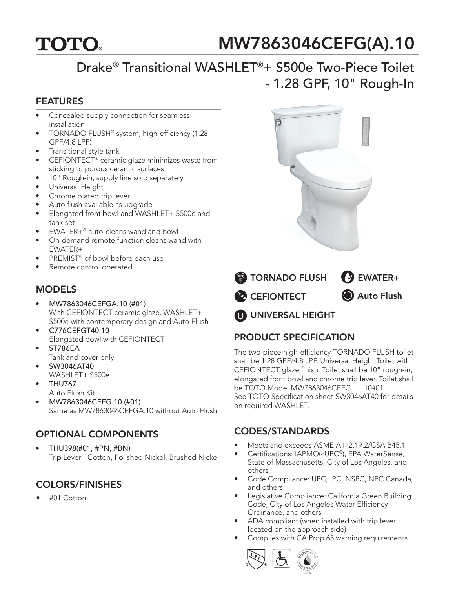# **TOTO.**

# MW7863046CEFG(A).10

# Drake® Transitional WASHLET®+ S500e Two-Piece Toilet - 1.28 GPF, 10" Rough-In

#### FEATURES

- Concealed supply connection for seamless installation
- TORNADO FLUSH® system, high-efficiency (1.28 GPF/4.8 LPF)
- Transitional style tank
- CEFIONTECT<sup>®</sup> ceramic glaze minimizes waste from sticking to porous ceramic surfaces.
- 10" Rough-in, supply line sold separately
- Universal Height
- Chrome plated trip lever
- Auto flush available as upgrade
- Elongated front bowl and WASHLET+ S500e and tank set
- EWATER+® auto-cleans wand and bowl
- On-demand remote function cleans wand with EWATER+
- PREMIST® of bowl before each use
- Remote control operated

#### **MODELS**

- MW7863046CEFGA.10 (#01) With CEFIONTECT ceramic glaze, WASHLET+ S500e with contemporary design and Auto Flush
- C776CEFGT40.10 Elongated bowl with CEFIONTECT
- ST786EA Tank and cover only
- SW3046AT40 WASHLET+ S500e
- THU767
- Auto Flush Kit
- MW7863046CEFG.10 (#01) Same as MW7863046CEFGA.10 without Auto Flush

## OPTIONAL COMPONENTS

• THU398(#01, #PN, #BN) Trip Lever - Cotton, Polished Nickel, Brushed Nickel

## COLORS/FINISHES

• #01 Cotton



**UNIVERSAL HEIGHT** 

## PRODUCT SPECIFICATION

The two-piece high-efficiency TORNADO FLUSH toilet shall be 1.28 GPF/4.8 LPF. Universal Height Toilet with CEFIONTECT glaze finish. Toilet shall be 10" rough-in, elongated front bowl and chrome trip lever. Toilet shall be TOTO Model MW7863046CEFG\_\_\_.10#01. See TOTO Specification sheet SW3046AT40 for details on required WASHLET.

#### CODES/STANDARDS

- Meets and exceeds ASME A112.19.2/CSA B45.1
- Certifications: IAPMO(cUPC®), EPA WaterSense, State of Massachusetts, City of Los Angeles, and others
- Code Compliance: UPC, IPC, NSPC, NPC Canada, and others
- Legislative Compliance: California Green Building Code, City of Los Angeles Water Efficiency Ordinance, and others
- ADA compliant (when installed with trip lever located on the approach side)
- Complies with CA Prop 65 warning requirements